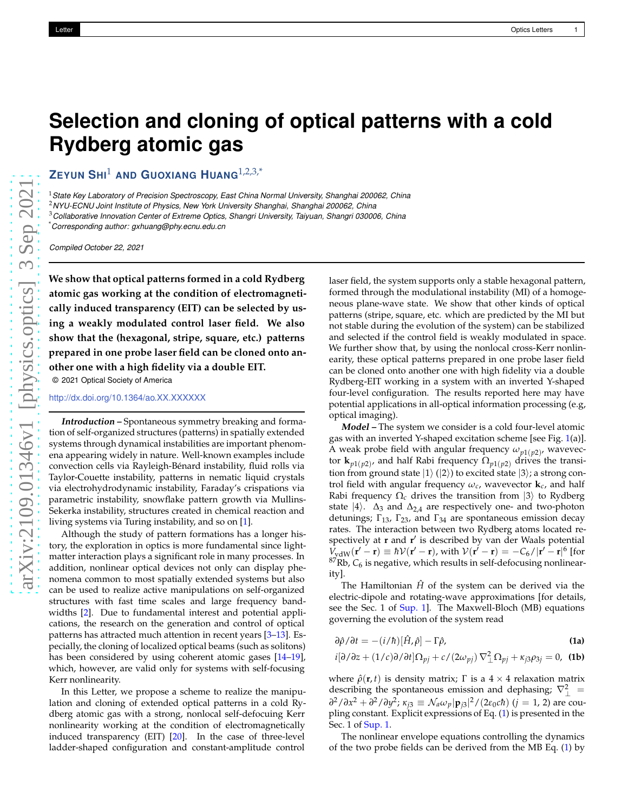## **Selection and cloning of optical patterns with a cold Rydberg atomic gas**

**ZEYUN SHI**<sup>1</sup> **AND GUOXIANG HUANG**1,2,3,\*

<sup>1</sup>*State Key Laboratory of Precision Spectroscopy, East China Normal University, Shanghai 200062, China*

<sup>2</sup>*NYU-ECNU Joint Institute of Physics, New York University Shanghai, Shanghai 200062, China*

<sup>3</sup>*Collaborative Innovation Center of Extreme Optics, Shangri University, Taiyuan, Shangri 030006, China*

\**Corresponding author: gxhuang@phy.ecnu.edu.cn*

*Compiled October 22, 2021*

**We show that optical patterns formed in a cold Rydberg atomic gas working at the condition of electromagnetically induced transparency (EIT) can be selected by using a weakly modulated control laser field. We also show that the (hexagonal, stripe, square, etc.) patterns prepared in one probe laser field can be cloned onto another one with a high fidelity via a double EIT.** © 2021 Optical Society of America <http://dx.doi.org/10.1364/ao.XX.XXXXXX>

**Introduction –** Spontaneous symmetry breaking and formation of self-organized structures (patterns) in spatially extended systems through dynamical instabilities are important phenomena appearing widely in nature. Well-known examples include convection cells via Rayleigh-Bénard instability, fluid rolls via Taylor-Couette instability, patterns in nematic liquid crystals via electrohydrodynamic instability, Faraday's crispations via parametric instability, snowflake pattern growth via Mullins-Sekerka instability, structures created in chemical reaction and living systems via Turing instability, and so on [\[1](#page-5-0)].

Although the study of pattern formations has a longer history, the exploration in optics is more fundamental since lightmatter interaction plays a significant role in many processes. In addition, nonlinear optical devices not only can display phenomena common to most spatially extended systems but also can be used to realize active manipulations on self-organized structures with fast time scales and large frequency bandwidths [\[2](#page-5-1)]. Due to fundamental interest and potential applications, the research on the generation and control of optical patterns has attracted much attention in recent years [\[3](#page-5-2)[–13](#page-5-3)]. Especially, the cloning of localized optical beams (such as solitons) has been considered by using coherent atomic gases [\[14](#page-5-4)[–19\]](#page-5-5), which, however, are valid only for systems with self-focusing Kerr nonlinearity.

In this Letter, we propose a scheme to realize the manipulation and cloning of extended optical patterns in a cold Rydberg atomic gas with a strong, nonlocal self-defocuing Kerr nonlinearity working at the condition of electromagnetically induced transparency (EIT) [\[20](#page-5-6)]. In the case of three-level ladder-shaped configuration and constant-amplitude control

laser field, the system supports only a stable hexagonal pattern, formed through the modulational instability (MI) of a homogeneous plane-wave state. We show that other kinds of optical patterns (stripe, square, etc. which are predicted by the MI but not stable during the evolution of the system) can be stabilized and selected if the control field is weakly modulated in space. We further show that, by using the nonlocal cross-Kerr nonlinearity, these optical patterns prepared in one probe laser field can be cloned onto another one with high fidelity via a double Rydberg-EIT working in a system with an inverted Y-shaped four-level configuration. The results reported here may have potential applications in all-optical information processing (e.g, optical imaging).

**Model –** The system we consider is a cold four-level atomic gas with an inverted Y-shaped excitation scheme [see Fig. [1\(](#page-1-0)a)]. A weak probe field with angular frequency *ωp*1(*p*2) , wavevector  $\mathbf{k}_{p1(p2)}$ , and half Rabi frequency  $\Omega_{p1(p2)}$  drives the transition from ground state  $|1\rangle$  ( $|2\rangle$ ) to excited state  $|3\rangle$ ; a strong control field with angular frequency *ωc*, wavevector **k***c*, and half Rabi frequency  $\Omega_c$  drives the transition from  $|3\rangle$  to Rydberg state  $|4\rangle$ .  $\Delta_3$  and  $\Delta_{2,4}$  are respectively one- and two-photon detunings;  $\Gamma_{13}$ ,  $\Gamma_{23}$ , and  $\Gamma_{34}$  are spontaneous emission decay rates. The interaction between two Rydberg atoms located respectively at **r** and **r** ′ is described by van der Waals potential  $\bar{V}_{\text{av}}$ dw $(\mathbf{r}' - \mathbf{r}) \equiv \hbar \mathcal{V}(\mathbf{r}' - \mathbf{r})$ , with  $\mathcal{V}(\mathbf{r}' - \mathbf{r}) = -C_6/|\mathbf{r}' - \mathbf{r}|^6$  [for <sup>87</sup>Rb, *C*<sub>6</sub> is negative, which results in self-defocusing nonlinearity].

The Hamiltonian  $\hat{H}$  of the system can be derived via the electric-dipole and rotating-wave approximations [for details, see the Sec. 1 of Sup. 1]. The Maxwell-Bloch (MB) equations governing the evolution of the system read

<span id="page-0-0"></span>
$$
\frac{\partial \hat{\rho}}{\partial t} = -(i/\hbar)[\hat{H}, \hat{\rho}] - \Gamma \hat{\rho}, \tag{1a}
$$

$$
i[\partial/\partial z + (1/c)\partial/\partial t]\Omega_{pj} + c/(2\omega_{pj})\nabla^2_{\perp}\Omega_{pj} + \kappa_{j3}\rho_{3j} = 0, \text{ (1b)}
$$

where  $\hat{\rho}$ (**r**, *t*) is density matrix;  $\Gamma$  is a 4  $\times$  4 relaxation matrix describing the spontaneous emission and dephasing;  $\nabla^2_{\perp}$  = *∂*<sup>2</sup> / ∂*x*<sup>2</sup> + ∂<sup>2</sup> / ∂*y*<sup>2</sup>; *κ<sub>j3</sub>* ≡  $\mathcal{N}_a \omega_p |{\bf p}_{j3}|^2$  / (2 $\varepsilon_0 c \hbar$ ) (*j* = 1, 2) are coupling constant. Explicit expressions of Eq. [\(1\)](#page-0-0) is presented in the Sec. 1 of Sup. 1.

The nonlinear envelope equations controlling the dynamics of the two probe fields can be derived from the MB Eq. [\(1\)](#page-0-0) by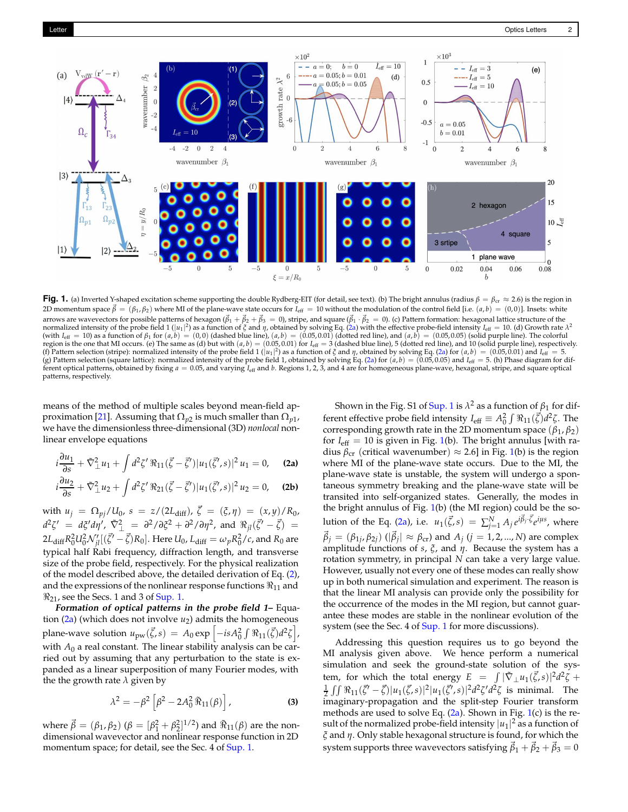<span id="page-1-0"></span>

**Fig. 1.** (a) Inverted Y-shaped excitation scheme supporting the double Rydberg-EIT (for detail, see text). (b) The bright annulus (radius  $\beta = \beta_{cr} \approx 2.6$ ) is the region in 2D momentum space  $\vec{\beta} = (\beta_1, \beta_2)$  where MI of the plane-wave state occurs for *I*<sub>eff</sub> = 10 without the modulation of the control field [i.e. (*a*, *b*) = (0,0)]. Insets: white arrows are wavevectors for possible patterns of hexagon ( $\vec{\beta}_1 + \vec{\beta}_2 + \vec{\beta}_3 = 0$ ), stripe, and square ( $\vec{\beta}_1 \cdot \vec{\beta}_2 = 0$ ). (c) Pattern formation: hexagonal lattice structure of the normalized intensity of the probe field 1  $(|u_1|^2)$  as a function of  $\xi$  and  $\eta$ , obtained by solving Eq. [\(2a\)](#page-1-1) with the effective probe-field intensity  $I_{\text{eff}} = 10$ . (d) Growth rate  $\lambda^2$ (with  $I_{\text{eff}} = 10$ ) as a function of  $\beta_1$  for  $(a, b) = (0, 0)$  (dashed blue line),  $(a, b) = (0.05, 0.01)$  (dotted red line), and  $(a, b) = (0.05, 0.05)$  (solid purple line). The colorful region is the one that MI occurs. (e) The (f) Pattern selection (stripe): normalized intensity of the probe field 1 (| $|u_1|^2$ ) as a function of  $\xi$  and  $\eta$ , obtained by solving Eq. [\(2a\)](#page-1-1) for  $(a,b) = (0.05,0.01)$  and  $I_{\text{eff}} = 5$ .<br>(g) Pattern selection (square latt ferent optical patterns, obtained by fixing  $a = 0.05$ , and varying  $I_{\text{eff}}$  and *b*. Regions 1, 2, 3, and 4 are for homogeneous plane-wave, hexagonal, stripe, and square optical patterns, respectively.

means of the method of multiple scales beyond mean-field ap-proximation [\[21](#page-5-7)]. Assuming that  $\Omega_{p2}$  is much smaller than  $\Omega_{p1}$ , we have the dimensionless three-dimensional (3D) *nonlocal* nonlinear envelope equations

<span id="page-1-2"></span>
$$
i\frac{\partial u_1}{\partial s} + \tilde{\nabla}^2_{\perp} u_1 + \int d^2 \zeta' \, \Re_{11}(\vec{\zeta} - \vec{\zeta}') |u_1(\vec{\zeta}', s)|^2 u_1 = 0, \quad \textbf{(2a)}
$$
  

$$
i\frac{\partial u_2}{\partial s} + \tilde{\nabla}^2_{\perp} u_2 + \int d^2 \zeta' \, \Re_{21}(\vec{\zeta} - \vec{\zeta}') |u_1(\vec{\zeta}', s)|^2 u_2 = 0, \quad \textbf{(2b)}
$$

with  $u_j = \Omega_{pj}/U_0$ ,  $s = z/(2L_{diff})$ ,  $\vec{\zeta} = (\xi, \eta) = (x, y)/R_0$ ,  $d^2\zeta' = d\zeta'd\eta', \ \nabla^2_{\perp} = \frac{\partial^2}{\partial \zeta^2} + \frac{\partial^2}{\partial \eta^2}, \text{ and } \Re_{jl}(\vec{\zeta'} - \vec{\zeta}) =$  $2L_{\text{diff}}R_0^2U_0^2N'_{jl}[(\vec{\zeta}' - \vec{\zeta})R_0]$ . Here  $U_0$ ,  $L_{\text{diff}} = \omega_p R_0^2/c$ , and  $R_0$  are typical half Rabi frequency, diffraction length, and transverse size of the probe field, respectively. For the physical realization of the model described above, the detailed derivation of Eq. [\(2\)](#page-1-2), and the expressions of the nonlinear response functions  $\Re_{11}$  and  $\Re_{21}$ , see the Secs. 1 and 3 of Sup. 1.

**Formation of optical patterns in the probe field 1–** Equation [\(2a\)](#page-1-1) (which does not involve *u*2) admits the homogeneous plane-wave solution  $u_{\text{pw}}(\vec{\zeta}, s) = A_0 \exp \left[-isA_0^2 \int \Re_{11}(\vec{\zeta}) d^2 \zeta\right]$ , with  $A_0$  a real constant. The linear stability analysis can be carried out by assuming that any perturbation to the state is expanded as a linear superposition of many Fourier modes, with the the growth rate *λ* given by

$$
\lambda^2 = -\beta^2 \left[ \beta^2 - 2A_0^2 \,\tilde{\mathfrak{R}}_{11}(\beta) \right],\tag{3}
$$

where  $\vec{\beta} = (\beta_1, \beta_2)$  ( $\beta = [\beta_1^2 + \beta_2^2]^{1/2}$ ) and  $\Re_{11}(\beta)$  are the nondimensional wavevector and nonlinear response function in 2D momentum space; for detail, see the Sec. 4 of Sup. 1.

<span id="page-1-3"></span><span id="page-1-1"></span>Shown in the Fig. S1 of Sup. 1 is  $λ^2$  as a function of  $β_1$  for different effective probe field intensity  $I_{\text{eff}} \equiv A_0^2 \int \Re_{11} (\vec{\zeta}) d^2 \zeta$ . The corresponding growth rate in the 2D momentum space (*β*<sup>1</sup> , *β*2) for  $I_{\text{eff}} = 10$  is given in Fig. [1\(](#page-1-0)b). The bright annulus [with radius  $\beta_{cr}$  (critical wavenumber)  $\approx 2.6$ ] in Fig. [1\(](#page-1-0)b) is the region where MI of the plane-wave state occurs. Due to the MI, the plane-wave state is unstable, the system will undergo a spontaneous symmetry breaking and the plane-wave state will be transited into self-organized states. Generally, the modes in the bright annulus of Fig. [1\(](#page-1-0)b) (the MI region) could be the so-lution of the Eq. [\(2a\)](#page-1-1), i.e.  $u_1(\vec{\zeta}, s) = \sum_{j=1}^{N} A_j e^{i\vec{\beta}_j \cdot \vec{\zeta}} e^{i\mu s}$ , where  $\vec{\beta}_j = (\beta_{1j}, \beta_{2j})$  ( $|\vec{\beta}_j| \approx \beta_{cr}$ ) and  $A_j$  ( $j = 1, 2, ..., N$ ) are complex amplitude functions of *s*, *ξ*, and *η*. Because the system has a rotation symmetry, in principal *N* can take a very large value. However, usually not every one of these modes can really show up in both numerical simulation and experiment. The reason is that the linear MI analysis can provide only the possibility for the occurrence of the modes in the MI region, but cannot guarantee these modes are stable in the nonlinear evolution of the system (see the Sec. 4 of Sup. 1 for more discussions).

Addressing this question requires us to go beyond the MI analysis given above. We hence perform a numerical simulation and seek the ground-state solution of the system, for which the total energy  $E = \int |\tilde{\nabla}_\perp u_1(\vec{\zeta}, s)|^2 d^2\vec{\zeta}$  +  $\frac{1}{2} \int \int \Re_{11}(\vec{\zeta}' - \vec{\zeta}) |u_1(\vec{\zeta}, s)|^2 |u_1(\vec{\zeta}', s)|^2 d^2 \zeta' d^2 \zeta$  is minimal. The imaginary-propagation and the split-step Fourier transform methods are used to solve Eq. [\(2a\)](#page-1-1). Shown in Fig. [1\(](#page-1-0)c) is the result of the normalized probe-field intensity  $|u_1|^2$  as a function of *ξ* and *η*. Only stable hexagonal structure is found, for which the system supports three wavevectors satisfying  $\vec{\beta}_1 + \vec{\beta}_2 + \vec{\beta}_3 = 0$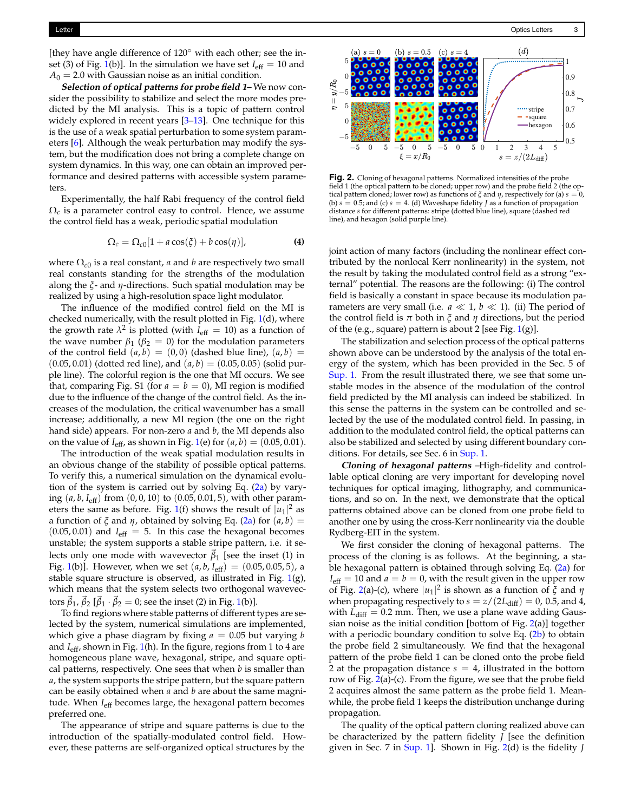[they have angle difference of 120◦ with each other; see the in-set (3) of Fig. [1\(](#page-1-0)b)]. In the simulation we have set  $I_{\text{eff}} = 10$  and  $A_0 = 2.0$  with Gaussian noise as an initial condition.

**Selection of optical patterns for probe field 1–** We now consider the possibility to stabilize and select the more modes predicted by the MI analysis. This is a topic of pattern control widely explored in recent years  $[3-13]$ . One technique for this is the use of a weak spatial perturbation to some system parameters [\[6\]](#page-5-8). Although the weak perturbation may modify the system, but the modification does not bring a complete change on system dynamics. In this way, one can obtain an improved performance and desired patterns with accessible system parameters.

Experimentally, the half Rabi frequency of the control field  $\Omega_c$  is a parameter control easy to control. Hence, we assume the control field has a weak, periodic spatial modulation

$$
\Omega_c = \Omega_{c0} [1 + a \cos(\xi) + b \cos(\eta)], \tag{4}
$$

where  $\Omega_{c0}$  is a real constant, *a* and *b* are respectively two small real constants standing for the strengths of the modulation along the *ξ*- and *η*-directions. Such spatial modulation may be realized by using a high-resolution space light modulator.

The influence of the modified control field on the MI is checked numerically, with the result plotted in Fig. [1\(](#page-1-0)d), where the growth rate  $\lambda^2$  is plotted (with  $I_{\text{eff}} = 10$ ) as a function of the wave number  $\beta_1$  ( $\beta_2 = 0$ ) for the modulation parameters of the control field  $(a, b) = (0, 0)$  (dashed blue line),  $(a, b) =$  $(0.05, 0.01)$  (dotted red line), and  $(a, b) = (0.05, 0.05)$  (solid purple line). The colorful region is the one that MI occurs. We see that, comparing Fig. S1 (for  $a = b = 0$ ), MI region is modified due to the influence of the change of the control field. As the increases of the modulation, the critical wavenumber has a small increase; additionally, a new MI region (the one on the right hand side) appears. For non-zero *a* and *b*, the MI depends also on the value of *I*<sub>eff</sub>, as shown in Fig. [1\(](#page-1-0)e) for  $(a, b) = (0.05, 0.01)$ .

The introduction of the weak spatial modulation results in an obvious change of the stability of possible optical patterns. To verify this, a numerical simulation on the dynamical evolution of the system is carried out by solving Eq. [\(2a\)](#page-1-1) by varying (*a*, *b*, *I*eff) from (0, 0, 10) to (0.05, 0.01, 5), with other param-eters the same as before. Fig. [1\(](#page-1-0)f) shows the result of  $|u_1|^2$  as a function of *ξ* and *η*, obtained by solving Eq. [\(2a\)](#page-1-1) for  $(a, b)$  =  $(0.05, 0.01)$  and  $I_{\text{eff}} = 5$ . In this case the hexagonal becomes unstable; the system supports a stable stripe pattern, i.e. it selects only one mode with wavevector  $\vec{\beta}_1$  [see the inset (1) in Fig. [1\(](#page-1-0)b)]. However, when we set  $(a, b, I_{\text{eff}}) = (0.05, 0.05, 5)$ , a stable square structure is observed, as illustrated in Fig. [1\(](#page-1-0)g), which means that the system selects two orthogonal wavevectors  $\vec{\beta}_1$ ,  $\vec{\beta}_2$  [ $\vec{\beta}_1 \cdot \vec{\beta}_2 = 0$ ; see the inset (2) in Fig. [1\(](#page-1-0)b)].

To find regions where stable patterns of different types are selected by the system, numerical simulations are implemented, which give a phase diagram by fixing  $a = 0.05$  but varying *b* and *I*eff, shown in Fig. [1\(](#page-1-0)h). In the figure, regions from 1 to 4 are homogeneous plane wave, hexagonal, stripe, and square optical patterns, respectively. One sees that when *b* is smaller than *a*, the system supports the stripe pattern, but the square pattern can be easily obtained when *a* and *b* are about the same magnitude. When *I*eff becomes large, the hexagonal pattern becomes preferred one.

The appearance of stripe and square patterns is due to the introduction of the spatially-modulated control field. However, these patterns are self-organized optical structures by the

<span id="page-2-0"></span>

Fig. 2. Cloning of hexagonal patterns. Normalized intensities of the probe field 1 (the optical pattern to be cloned; upper row) and the probe field 2 (the optical pattern cloned; lower row) as functions of *ξ* and *η*, respectively for (a) *s* = 0, (b)  $s = 0.5$ ; and (c)  $s = 4$ . (d) Waveshape fidelity *J* as a function of propagation distance *s* for different patterns: stripe (dotted blue line), square (dashed red line), and hexagon (solid purple line).

joint action of many factors (including the nonlinear effect contributed by the nonlocal Kerr nonlinearity) in the system, not the result by taking the modulated control field as a strong "external" potential. The reasons are the following: (i) The control field is basically a constant in space because its modulation parameters are very small (i.e.  $a \ll 1$ ,  $b \ll 1$ ). (ii) The period of the control field is  $\pi$  both in  $\xi$  and  $\eta$  directions, but the period of the (e.g., square) pattern is about 2 [see Fig.  $1(g)$  $1(g)$ ].

The stabilization and selection process of the optical patterns shown above can be understood by the analysis of the total energy of the system, which has been provided in the Sec. 5 of Sup. 1. From the result illustrated there, we see that some unstable modes in the absence of the modulation of the control field predicted by the MI analysis can indeed be stabilized. In this sense the patterns in the system can be controlled and selected by the use of the modulated control field. In passing, in addition to the modulated control field, the optical patterns can also be stabilized and selected by using different boundary conditions. For details, see Sec. 6 in Sup. 1.

**Cloning of hexagonal patterns** –High-fidelity and controllable optical cloning are very important for developing novel techniques for optical imaging, lithography, and communications, and so on. In the next, we demonstrate that the optical patterns obtained above can be cloned from one probe field to another one by using the cross-Kerr nonlinearity via the double Rydberg-EIT in the system.

We first consider the cloning of hexagonal patterns. The process of the cloning is as follows. At the beginning, a sta-ble hexagonal pattern is obtained through solving Eq. [\(2a\)](#page-1-1) for  $I_{\text{eff}} = 10$  and  $a = b = 0$ , with the result given in the upper row of Fig. [2\(](#page-2-0)a)-(c), where  $|u_1|^2$  is shown as a function of  $\xi$  and  $\eta$ when propagating respectively to  $s = z/(2L_{diff}) = 0$ , 0.5, and 4, with  $L_{\text{diff}} = 0.2$  mm. Then, we use a plane wave adding Gaussian noise as the initial condition [bottom of Fig. [2\(](#page-2-0)a)] together with a periodic boundary condition to solve Eq.  $(2b)$  to obtain the probe field 2 simultaneously. We find that the hexagonal pattern of the probe field 1 can be cloned onto the probe field 2 at the propagation distance  $s = 4$ , illustrated in the bottom row of Fig. [2\(](#page-2-0)a)-(c). From the figure, we see that the probe field 2 acquires almost the same pattern as the probe field 1. Meanwhile, the probe field 1 keeps the distribution unchange during propagation.

The quality of the optical pattern cloning realized above can be characterized by the pattern fidelity *J* [see the definition given in Sec. 7 in Sup. 1]. Shown in Fig. [2\(](#page-2-0)d) is the fidelity *J*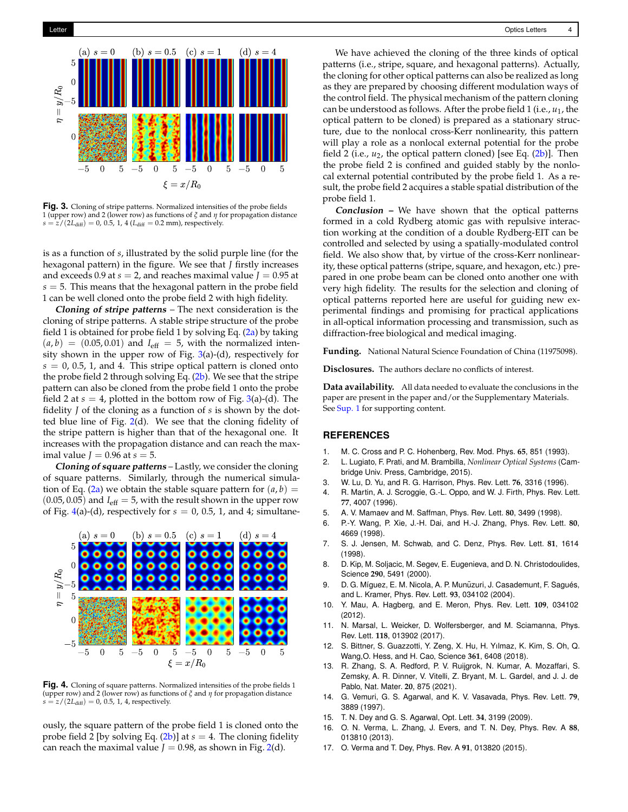<span id="page-3-0"></span>

Fig. 3. Cloning of stripe patterns. Normalized intensities of the probe fields 1 (upper row) and 2 (lower row) as functions of *ξ* and *η* for propagation distance  $s = z/(2L_{\text{diff}}) = 0$ , 0.5, 1, 4 ( $L_{\text{diff}} = 0.2$  mm), respectively.

is as a function of *s*, illustrated by the solid purple line (for the hexagonal pattern) in the figure. We see that *J* firstly increases and exceeds 0.9 at  $s = 2$ , and reaches maximal value  $J = 0.95$  at  $s = 5$ . This means that the hexagonal pattern in the probe field 1 can be well cloned onto the probe field 2 with high fidelity.

**Cloning of stripe patterns** – The next consideration is the cloning of stripe patterns. A stable stripe structure of the probe field 1 is obtained for probe field 1 by solving Eq.  $(2a)$  by taking  $(a, b) = (0.05, 0.01)$  and  $I_{\text{eff}} = 5$ , with the normalized intensity shown in the upper row of Fig.  $3(a)-(d)$  $3(a)-(d)$ , respectively for *s* = 0, 0.5, 1, and 4. This stripe optical pattern is cloned onto the probe field 2 through solving Eq. [\(2b\)](#page-1-3). We see that the stripe pattern can also be cloned from the probe field 1 onto the probe field 2 at  $s = 4$ , plotted in the bottom row of Fig. [3\(](#page-3-0)a)-(d). The fidelity *J* of the cloning as a function of *s* is shown by the dotted blue line of Fig.  $2(d)$  $2(d)$ . We see that the cloning fidelity of the stripe pattern is higher than that of the hexagonal one. It increases with the propagation distance and can reach the maximal value  $J = 0.96$  at  $s = 5$ .

**Cloning of square patterns** – Lastly, we consider the cloning of square patterns. Similarly, through the numerical simula-tion of Eq. [\(2a\)](#page-1-1) we obtain the stable square pattern for  $(a, b)$  =  $(0.05, 0.05)$  and  $I_{\text{eff}} = 5$ , with the result shown in the upper row of Fig.  $4(a)$  $4(a)$ -(d), respectively for  $s = 0$ , 0.5, 1, and 4; simultane-

<span id="page-3-1"></span>

**Fig. 4.** Cloning of square patterns. Normalized intensities of the probe fields 1 (upper row) and 2 (lower row) as functions of *ξ* and *η* for propagation distance  $s = z/(2L_{\text{diff}}) = 0$ , 0.5, 1, 4, respectively.

ously, the square pattern of the probe field 1 is cloned onto the probe field 2 [by solving Eq.  $(2b)$ ] at  $s = 4$ . The cloning fidelity can reach the maximal value  $J = 0.98$ , as shown in Fig. [2\(](#page-2-0)d).

We have achieved the cloning of the three kinds of optical patterns (i.e., stripe, square, and hexagonal patterns). Actually, the cloning for other optical patterns can also be realized as long as they are prepared by choosing different modulation ways of the control field. The physical mechanism of the pattern cloning can be understood as follows. After the probe field 1 (i.e., *u*<sup>1</sup> , the optical pattern to be cloned) is prepared as a stationary structure, due to the nonlocal cross-Kerr nonlinearity, this pattern will play a role as a nonlocal external potential for the probe field 2 (i.e.,  $u_2$ , the optical pattern cloned) [see Eq.  $(2b)$ ]. Then the probe field 2 is confined and guided stably by the nonlocal external potential contributed by the probe field 1. As a result, the probe field 2 acquires a stable spatial distribution of the probe field 1.

**Conclusion –** We have shown that the optical patterns formed in a cold Rydberg atomic gas with repulsive interaction working at the condition of a double Rydberg-EIT can be controlled and selected by using a spatially-modulated control field. We also show that, by virtue of the cross-Kerr nonlinearity, these optical patterns (stripe, square, and hexagon, etc.) prepared in one probe beam can be cloned onto another one with very high fidelity. The results for the selection and cloning of optical patterns reported here are useful for guiding new experimental findings and promising for practical applications in all-optical information processing and transmission, such as diffraction-free biological and medical imaging.

**Funding.** National Natural Science Foundation of China (11975098).

**Disclosures.** The authors declare no conflicts of interest.

**Data availability.** All data needed to evaluate the conclusions in the paper are present in the paper and/or the Supplementary Materials. See Sup. 1 for supporting content.

## **REFERENCES**

- 1. M. C. Cross and P. C. Hohenberg, Rev. Mod. Phys. **65**, 851 (1993).
- 2. L. Lugiato, F. Prati, and M. Brambilla, *Nonlinear Optical Systems* (Cambridge Univ. Press, Cambridge, 2015).
- 3. W. Lu, D. Yu, and R. G. Harrison, Phys. Rev. Lett. **76**, 3316 (1996).
- 4. R. Martin, A. J. Scroggie, G.-L. Oppo, and W. J. Firth, Phys. Rev. Lett. **77**, 4007 (1996).
- 5. A. V. Mamaev and M. Saffman, Phys. Rev. Lett. **80**, 3499 (1998).
- 6. P.-Y. Wang, P. Xie, J.-H. Dai, and H.-J. Zhang, Phys. Rev. Lett. **80**, 4669 (1998).
- 7. S. J. Jensen, M. Schwab, and C. Denz, Phys. Rev. Lett. **81**, 1614 (1998).
- 8. D. Kip, M. Soljacic, M. Segev, E. Eugenieva, and D. N. Christodoulides, Science **290**, 5491 (2000).
- 9. D. G. Míguez, E. M. Nicola, A. P. Munuzuri, J. Casademunt, F. Sagués, and L. Kramer, Phys. Rev. Lett. **93**, 034102 (2004).
- 10. Y. Mau, A. Hagberg, and E. Meron, Phys. Rev. Lett. **109**, 034102 (2012).
- 11. N. Marsal, L. Weicker, D. Wolfersberger, and M. Sciamanna, Phys. Rev. Lett. **118**, 013902 (2017).
- 12. S. Bittner, S. Guazzotti, Y. Zeng, X. Hu, H. Yılmaz, K. Kim, S. Oh, Q. Wang,O. Hess, and H. Cao, Science **361**, 6408 (2018).
- 13. R. Zhang, S. A. Redford, P. V. Ruijgrok, N. Kumar, A. Mozaffari, S. Zemsky, A. R. Dinner, V. Vitelli, Z. Bryant, M. L. Gardel, and J. J. de Pablo, Nat. Mater. **20**, 875 (2021).
- 14. G. Vemuri, G. S. Agarwal, and K. V. Vasavada, Phys. Rev. Lett. **79**, 3889 (1997).
- 15. T. N. Dey and G. S. Agarwal, Opt. Lett. **34**, 3199 (2009).
- 16. O. N. Verma, L. Zhang, J. Evers, and T. N. Dey, Phys. Rev. A **88**, 013810 (2013).
- 17. O. Verma and T. Dey, Phys. Rev. A **91**, 013820 (2015).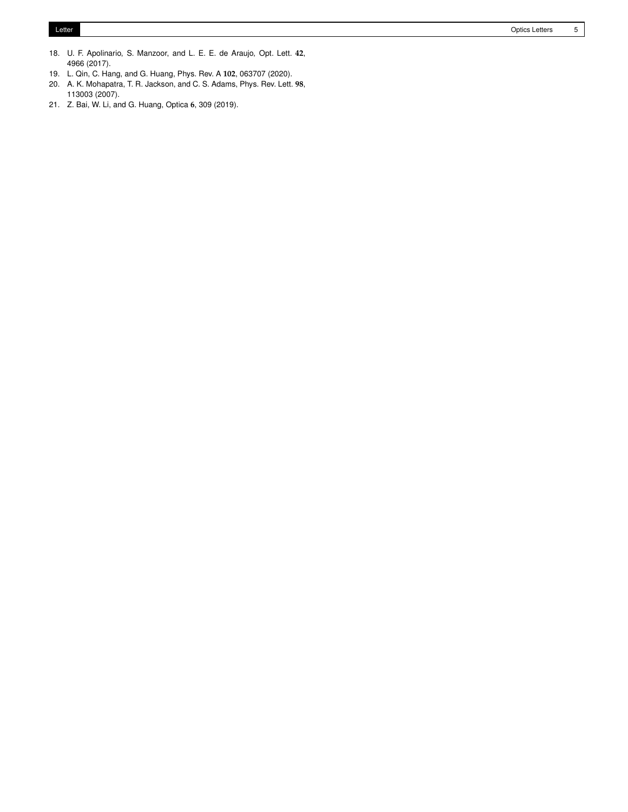- 18. U. F. Apolinario, S. Manzoor, and L. E. E. de Araujo, Opt. Lett. **42**, 4966 (2017).
- 19. L. Qin, C. Hang, and G. Huang, Phys. Rev. A **102**, 063707 (2020).
- 20. A. K. Mohapatra, T. R. Jackson, and C. S. Adams, Phys. Rev. Lett. **98**, 113003 (2007).
- 21. Z. Bai, W. Li, and G. Huang, Optica **6**, 309 (2019).